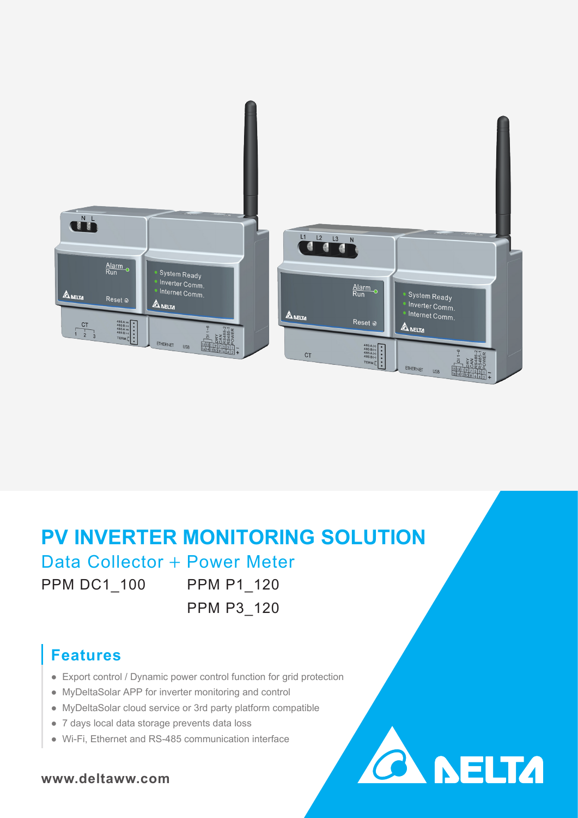

# **PV INVERTER MONITORING SOLUTION**

# Data Collector + Power Meter

PPM DC1\_100

PPM P1\_120 PPM P3\_120

**CA NELTA** 

#### **Features**

- Export control / Dynamic power control function for grid protection
- MyDeltaSolar APP for inverter monitoring and control
- MyDeltaSolar cloud service or 3rd party platform compatible
- 7 days local data storage prevents data loss
- Wi-Fi, Ethernet and RS-485 communication interface

#### **www.deltaww.com**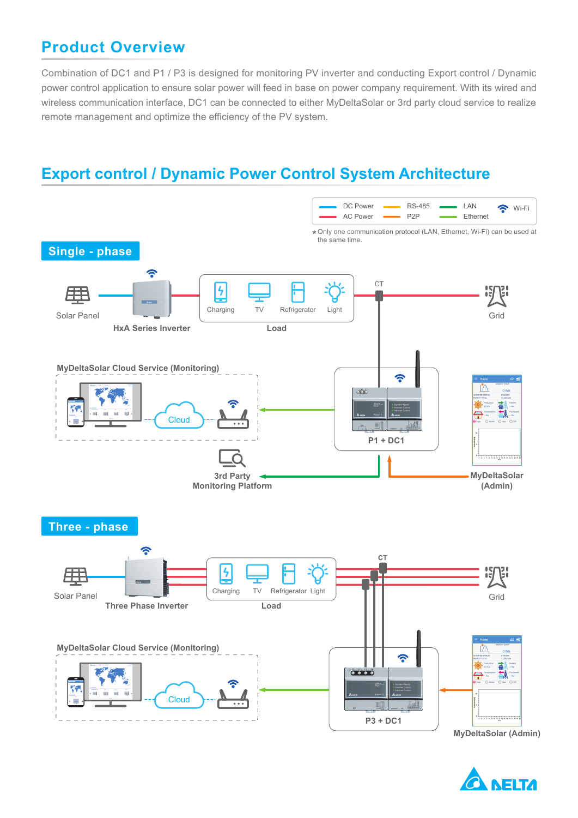#### **Product Overview**

Combination of DC1 and P1 / P3 is designed for monitoring PV inverter and conducting Export control / Dynamic power control application to ensure solar power will feed in base on power company requirement. With its wired and wireless communication interface, DC1 can be connected to either MyDeltaSolar or 3rd party cloud service to realize remote management and optimize the efficiency of the PV system.

#### **Export control / Dynamic Power Control System Architecture**



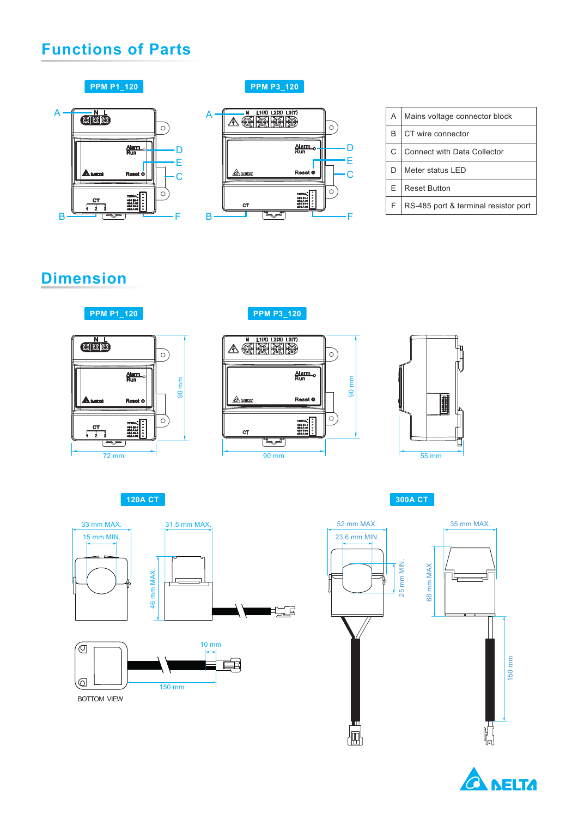#### **Functions of Parts**



**PPM P1\_120 PPM P3\_120** 



| A | Mains voltage connector block        |
|---|--------------------------------------|
| B | CT wire connector                    |
| C | <b>Connect with Data Collector</b>   |
| D | Meter status LED                     |
| Е | <b>Reset Button</b>                  |
| F | RS-485 port & terminal resistor port |

### **Dimension**



72 mm

**PPM P3\_120**





**120A CT 300A CT**